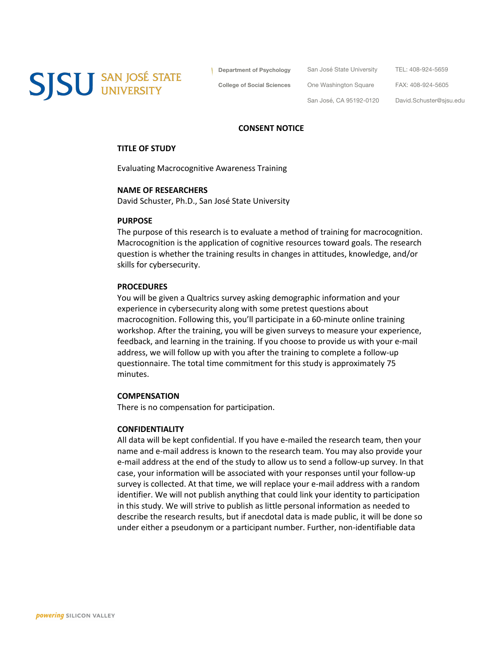**SJSU** SAN JOSÉ STATE

**Department of Psychology**

San José State University TEL: 408-924-5659

**College of Social Sciences**

FAX: 408-924-5605

San José, CA 95192-0120

One Washington Square

David.Schuster@sjsu.edu

### **CONSENT NOTICE**

### **TITLE OF STUDY**

Evaluating Macrocognitive Awareness Training

## **NAME OF RESEARCHERS**

David Schuster, Ph.D., San José State University

#### **PURPOSE**

The purpose of this research is to evaluate a method of training for macrocognition. Macrocognition is the application of cognitive resources toward goals. The research question is whether the training results in changes in attitudes, knowledge, and/or skills for cybersecurity.

## **PROCEDURES**

You will be given a Qualtrics survey asking demographic information and your experience in cybersecurity along with some pretest questions about macrocognition. Following this, you'll participate in a 60-minute online training workshop. After the training, you will be given surveys to measure your experience, feedback, and learning in the training. If you choose to provide us with your e-mail address, we will follow up with you after the training to complete a follow-up questionnaire. The total time commitment for this study is approximately 75 minutes.

### **COMPENSATION**

There is no compensation for participation.

## **CONFIDENTIALITY**

All data will be kept confidential. If you have e-mailed the research team, then your name and e-mail address is known to the research team. You may also provide your e-mail address at the end of the study to allow us to send a follow-up survey. In that case, your information will be associated with your responses until your follow-up survey is collected. At that time, we will replace your e-mail address with a random identifier. We will not publish anything that could link your identity to participation in this study. We will strive to publish as little personal information as needed to describe the research results, but if anecdotal data is made public, it will be done so under either a pseudonym or a participant number. Further, non-identifiable data